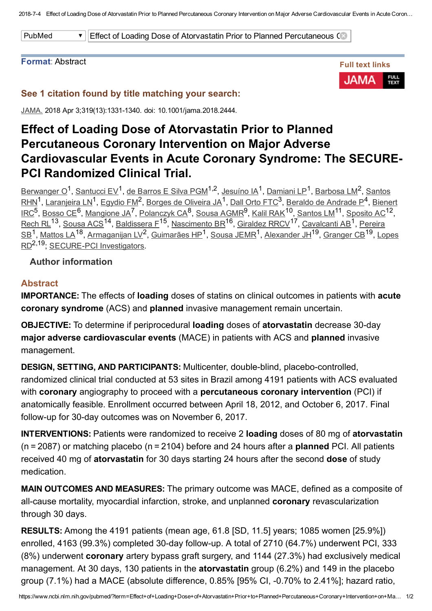201874 Effect of Loading Dose of Atorvastatin Prior to Planned Percutaneous Coronary Intervention on Major Adverse Cardiovascular Events in Acute Coron…

PubMed **Effect of Loading Dose of Atorvastatin Prior to Planned Percutaneous Coronary Intervents intervents in Acute Coronary Syndrometric Coronary Intervents in Acute Coronary Syndrometric Coronary Syndrometric Coronary S** 

#### Format: Abstract



# See 1 citation found by title matching your search:

JAMA. 2018 Apr 3;319(13):1331-1340. doi: 10.1001/jama.2018.2444.

# Effect of Loading Dose of Atorvastatin Prior to Planned Percutaneous Coronary Intervention on Major Adverse Cardiovascular Events in Acute Coronary Syndrome: The SECURE-PCI Randomized Clinical Trial.

[Berwanger](https://www.ncbi.nlm.nih.gov/pubmed/?term=Berwanger%20O%5BAuthor%5D&cauthor=true&cauthor_uid=29525821) O<sup>1</sup>, [Santucci](https://www.ncbi.nlm.nih.gov/pubmed/?term=Santucci%20EV%5BAuthor%5D&cauthor=true&cauthor_uid=29525821) EV<sup>1</sup>, de [Barros](https://www.ncbi.nlm.nih.gov/pubmed/?term=de%20Barros%20E%20Silva%20PGM%5BAuthor%5D&cauthor=true&cauthor_uid=29525821) E Silva PGM<sup>1,2</sup>, [Jesuíno](https://www.ncbi.nlm.nih.gov/pubmed/?term=Jesu%C3%ADno%20IA%5BAuthor%5D&cauthor=true&cauthor_uid=29525821) IA<sup>1</sup>, [Damiani](https://www.ncbi.nlm.nih.gov/pubmed/?term=Damiani%20LP%5BAuthor%5D&cauthor=true&cauthor_uid=29525821) LP<sup>1</sup>, [Barbosa](https://www.ncbi.nlm.nih.gov/pubmed/?term=Barbosa%20LM%5BAuthor%5D&cauthor=true&cauthor_uid=29525821) LM<sup>2</sup>, Santos  $\text{RHN}^1$ , [Laranjeira](https://www.ncbi.nlm.nih.gov/pubmed/?term=Laranjeira%20LN%5BAuthor%5D&cauthor=true&cauthor_uid=29525821) LN<sup>1</sup>, [Egydio](https://www.ncbi.nlm.nih.gov/pubmed/?term=Egydio%20FM%5BAuthor%5D&cauthor=true&cauthor_uid=29525821) FM<sup>2</sup>, Borges de [Oliveira](https://www.ncbi.nlm.nih.gov/pubmed/?term=Borges%20de%20Oliveira%20JA%5BAuthor%5D&cauthor=true&cauthor_uid=29525821) JA<sup>1</sup>, Dall [Orto](https://www.ncbi.nlm.nih.gov/pubmed/?term=Dall%20Orto%20FTC%5BAuthor%5D&cauthor=true&cauthor_uid=29525821) FTC<sup>3</sup>, Beraldo de [Andrade](https://www.ncbi.nlm.nih.gov/pubmed/?term=Beraldo%20de%20Andrade%20P%5BAuthor%5D&cauthor=true&cauthor_uid=29525821) P<sup>4</sup>, Bienert IRC<sup>5</sup>, <u>[Bosso](https://www.ncbi.nlm.nih.gov/pubmed/?term=Bosso%20CE%5BAuthor%5D&cauthor=true&cauthor_uid=29525821) CE<sup>6</sup>, [Mangione](https://www.ncbi.nlm.nih.gov/pubmed/?term=Mangione%20JA%5BAuthor%5D&cauthor=true&cauthor_uid=29525821) JA<sup>7</sup>, [Polanczyk](https://www.ncbi.nlm.nih.gov/pubmed/?term=Bienert%20IRC%5BAuthor%5D&cauthor=true&cauthor_uid=29525821) CA<sup>8</sup>, Sousa [AGMR](https://www.ncbi.nlm.nih.gov/pubmed/?term=Sousa%20AGMR%5BAuthor%5D&cauthor=true&cauthor_uid=29525821)<sup>9</sup>, Kalil [RAK](https://www.ncbi.nlm.nih.gov/pubmed/?term=Kalil%20RAK%5BAuthor%5D&cauthor=true&cauthor_uid=29525821)<sup>10</sup>, [Santos](https://www.ncbi.nlm.nih.gov/pubmed/?term=Santos%20LM%5BAuthor%5D&cauthor=true&cauthor_uid=29525821) LM<sup>11</sup>, [Sposito](https://www.ncbi.nlm.nih.gov/pubmed/?term=Sposito%20AC%5BAuthor%5D&cauthor=true&cauthor_uid=29525821) AC<sup>12</sup>,</u> <u>[Rech](https://www.ncbi.nlm.nih.gov/pubmed/?term=Rech%20RL%5BAuthor%5D&cauthor=true&cauthor_uid=29525821) RL<sup>13</sup>, [Sousa](https://www.ncbi.nlm.nih.gov/pubmed/?term=Sousa%20ACS%5BAuthor%5D&cauthor=true&cauthor_uid=29525821) ACS<sup>14</sup>, [Baldissera](https://www.ncbi.nlm.nih.gov/pubmed/?term=Baldissera%20F%5BAuthor%5D&cauthor=true&cauthor_uid=29525821) F<sup>15</sup>, [Nascimento](https://www.ncbi.nlm.nih.gov/pubmed/?term=Nascimento%20BR%5BAuthor%5D&cauthor=true&cauthor_uid=29525821) BR<sup>16</sup>, [Giraldez](https://www.ncbi.nlm.nih.gov/pubmed/?term=Giraldez%20RRCV%5BAuthor%5D&cauthor=true&cauthor_uid=29525821) RRCV<sup>17</sup>, [Cavalcanti](https://www.ncbi.nlm.nih.gov/pubmed/?term=Cavalcanti%20AB%5BAuthor%5D&cauthor=true&cauthor_uid=29525821) AB<sup>1</sup>, Pereira</u> <u>SB<sup>1</sup>, [Mattos](https://www.ncbi.nlm.nih.gov/pubmed/?term=Mattos%20LA%5BAuthor%5D&cauthor=true&cauthor_uid=29525821) LA<sup>18</sup>, [Armaganijan](https://www.ncbi.nlm.nih.gov/pubmed/?term=Pereira%20SB%5BAuthor%5D&cauthor=true&cauthor_uid=29525821) LV<sup>2</sup>, [Guimarães](https://www.ncbi.nlm.nih.gov/pubmed/?term=Guimar%C3%A3es%20HP%5BAuthor%5D&cauthor=true&cauthor_uid=29525821) HP<sup>1</sup>, [Sousa](https://www.ncbi.nlm.nih.gov/pubmed/?term=Sousa%20JEMR%5BAuthor%5D&cauthor=true&cauthor_uid=29525821) JEMR<sup>1</sup>, [Alexander](https://www.ncbi.nlm.nih.gov/pubmed/?term=Alexander%20JH%5BAuthor%5D&cauthor=true&cauthor_uid=29525821) JH<sup>19</sup>, [Granger](https://www.ncbi.nlm.nih.gov/pubmed/?term=Granger%20CB%5BAuthor%5D&cauthor=true&cauthor_uid=29525821) CB<sup>19</sup>, Lopes</u> RD<sup>2,19</sup>; SECURE-PCI Investigators.

### Author information

### Abstract

**IMPORTANCE:** The effects of loading doses of statins on clinical outcomes in patients with acute coronary syndrome (ACS) and planned invasive management remain uncertain.

OBJECTIVE: To determine if periprocedural loading doses of atorvastatin decrease 30-day major adverse cardiovascular events (MACE) in patients with ACS and planned invasive management.

DESIGN, SETTING, AND PARTICIPANTS: Multicenter, double-blind, placebo-controlled, randomized clinical trial conducted at 53 sites in Brazil among 4191 patients with ACS evaluated with coronary angiography to proceed with a percutaneous coronary intervention (PCI) if anatomically feasible. Enrollment occurred between April 18, 2012, and October 6, 2017. Final follow-up for 30-day outcomes was on November 6, 2017.

**INTERVENTIONS:** Patients were randomized to receive 2 loading doses of 80 mg of atorvastatin  $(n = 2087)$  or matching placebo  $(n = 2104)$  before and 24 hours after a **planned** PCI. All patients received 40 mg of atorvastatin for 30 days starting 24 hours after the second dose of study medication.

MAIN OUTCOMES AND MEASURES: The primary outcome was MACE, defined as a composite of all-cause mortality, myocardial infarction, stroke, and unplanned coronary revascularization through 30 days.

**RESULTS:** Among the 4191 patients (mean age, 61.8 [SD, 11.5] years; 1085 women [25.9%]) enrolled,  $4163$  (99.3%) completed 30-day follow-up. A total of 2710 (64.7%) underwent PCI, 333 (8%) underwent coronary artery bypass graft surgery, and 1144 (27.3%) had exclusively medical management. At 30 days, 130 patients in the **atoryastatin** group (6.2%) and 149 in the placebo group  $(7.1\%)$  had a MACE (absolute difference, 0.85% [95% CI,  $-0.70\%$  to 2.41%]; hazard ratio,